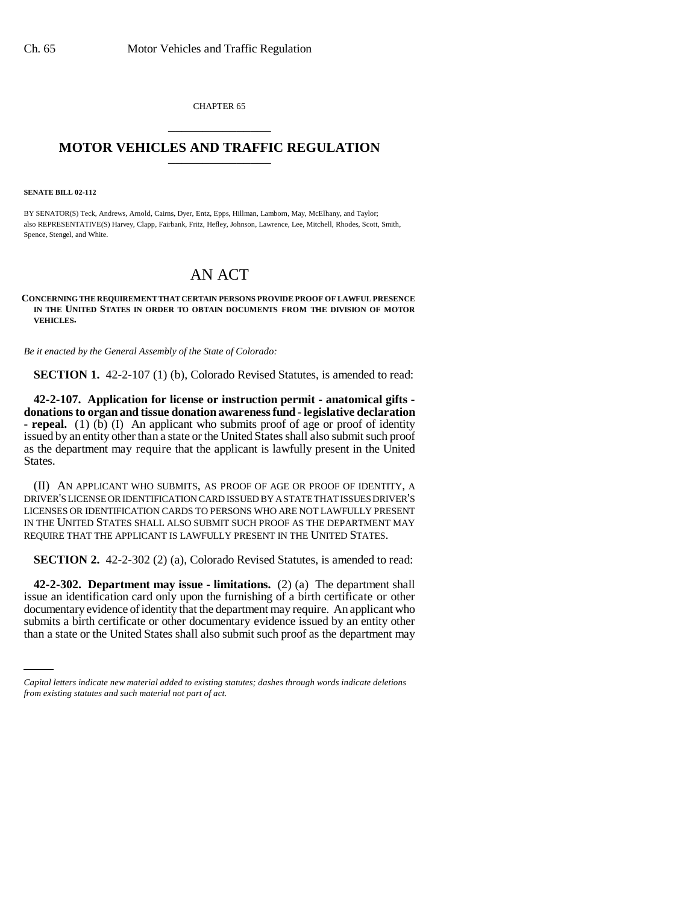CHAPTER 65 \_\_\_\_\_\_\_\_\_\_\_\_\_\_\_

## **MOTOR VEHICLES AND TRAFFIC REGULATION** \_\_\_\_\_\_\_\_\_\_\_\_\_\_\_

**SENATE BILL 02-112**

BY SENATOR(S) Teck, Andrews, Arnold, Cairns, Dyer, Entz, Epps, Hillman, Lamborn, May, McElhany, and Taylor; also REPRESENTATIVE(S) Harvey, Clapp, Fairbank, Fritz, Hefley, Johnson, Lawrence, Lee, Mitchell, Rhodes, Scott, Smith, Spence, Stengel, and White.

## AN ACT

## **CONCERNING THE REQUIREMENT THAT CERTAIN PERSONS PROVIDE PROOF OF LAWFUL PRESENCE IN THE UNITED STATES IN ORDER TO OBTAIN DOCUMENTS FROM THE DIVISION OF MOTOR VEHICLES.**

*Be it enacted by the General Assembly of the State of Colorado:*

**SECTION 1.** 42-2-107 (1) (b), Colorado Revised Statutes, is amended to read:

**42-2-107. Application for license or instruction permit - anatomical gifts donations to organ and tissue donation awareness fund - legislative declaration - repeal.** (1) (b) (I) An applicant who submits proof of age or proof of identity issued by an entity other than a state or the United States shall also submit such proof as the department may require that the applicant is lawfully present in the United States.

(II) AN APPLICANT WHO SUBMITS, AS PROOF OF AGE OR PROOF OF IDENTITY, A DRIVER'S LICENSE OR IDENTIFICATION CARD ISSUED BY A STATE THAT ISSUES DRIVER'S LICENSES OR IDENTIFICATION CARDS TO PERSONS WHO ARE NOT LAWFULLY PRESENT IN THE UNITED STATES SHALL ALSO SUBMIT SUCH PROOF AS THE DEPARTMENT MAY REQUIRE THAT THE APPLICANT IS LAWFULLY PRESENT IN THE UNITED STATES.

**SECTION 2.** 42-2-302 (2) (a), Colorado Revised Statutes, is amended to read:

documentary evidence of identity that the department may require. An applicant who **42-2-302. Department may issue - limitations.** (2) (a) The department shall issue an identification card only upon the furnishing of a birth certificate or other submits a birth certificate or other documentary evidence issued by an entity other than a state or the United States shall also submit such proof as the department may

*Capital letters indicate new material added to existing statutes; dashes through words indicate deletions from existing statutes and such material not part of act.*